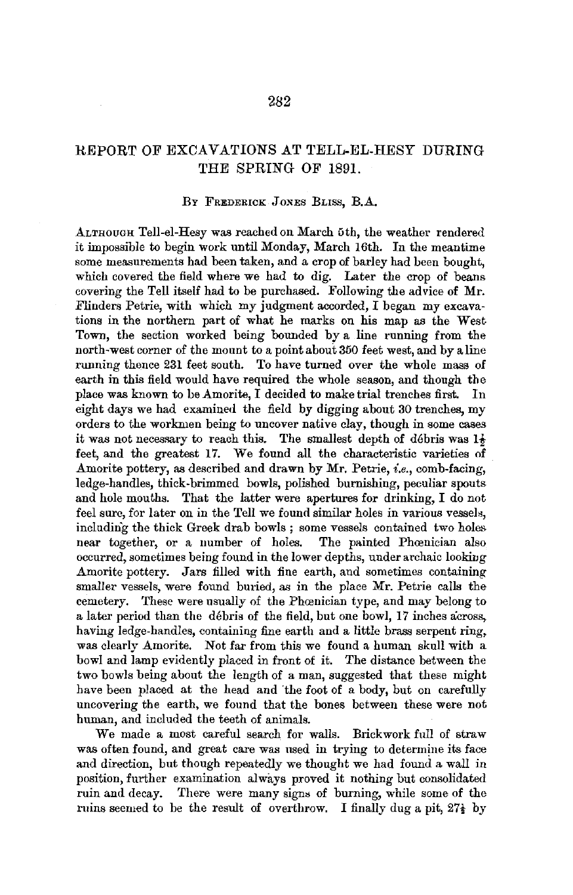## REPORT OF EXCAVATIONS AT TELL-EL-HESY DURING THE SPRING OF 1891.

## BY FREDERICK JONES BLISS, B.A.

ALTHOUGH Tell-el-Hesy was reached on March 5th, the weather rendered it impossible to begin work until Monday, March 16th. In the meantime some measurements had been taken, and a crop of barley had been bought, which covered the field where we had to dig. Later the crop of beans covering the Tell itself had to be purchased. Following the advice of Mr. Flinders Petrie, with which my judgment accorded, I began my excavations in the northern part of what he marks on his map as the West Town, the section worked being bounded by a line running from the north-west corner of the mount to a point about 350 feet west, and by a line running thence 231 feet south. To have turned over the whole mass of earth in this field would have required the whole season, and though the place was known to be Amorite, I decided to make trial trenches first. In eight days we had examined the field by digging about 30 trenches, my orders to the workmen being to uncover native clay, though in some cases it was not necessary to reach this. The smallest depth of débris was  $1\frac{1}{6}$ feet, and the greatest 17. We found all the characteristic varieties of Amorite pottery, as described and drawn by Mr. Petrie, *i.e.,* comb-facing, ledge-handles, thick-brimmed bowls, polished burnishing, peculiar spouts and hole mouths. That the latter were apertures for drinking, I do not feel sure, for later on in the Tell we found similar holes in various vessels, including the thick Greek drab bowls ; some vessels contained two holes near together, or a number of holes. The painted Phoenician also occurred, sometimes being found in the lower depths, under archaic looking Amorite pottery. Jars filled with fine earth, and sometimes containing smaller vessels, were found buried, as in the place Mr. Petrie calls the cemetery. These were usually of the Phoenician type, and may belong to a later period than the debris of the field, but one bowl, 17 inches across, having ledge-handles, containing fine earth and a little brass serpent ring, was clearly Amorite. Not far from this we found a human skull with a bowl and lamp evidently placed in front of it. The distance between the two bowls being about the length of a man, suggested that these might have been placed at the head and the foot of a body, but on carefully uncovering the earth, we found that the bones between these were not human, and included the teeth of animals.

We made a most careful search for walls. Brickwork full of straw was often found, and great care was used in trying to determjne its face and direction, but though repeatedly we thought we had found a wall in position, further examination always proved it nothing but consolidated ruin and decay. There were many signs of burning, while some of the ruins seemed to be the result of overthrow. I finally dug a pit, 27½ by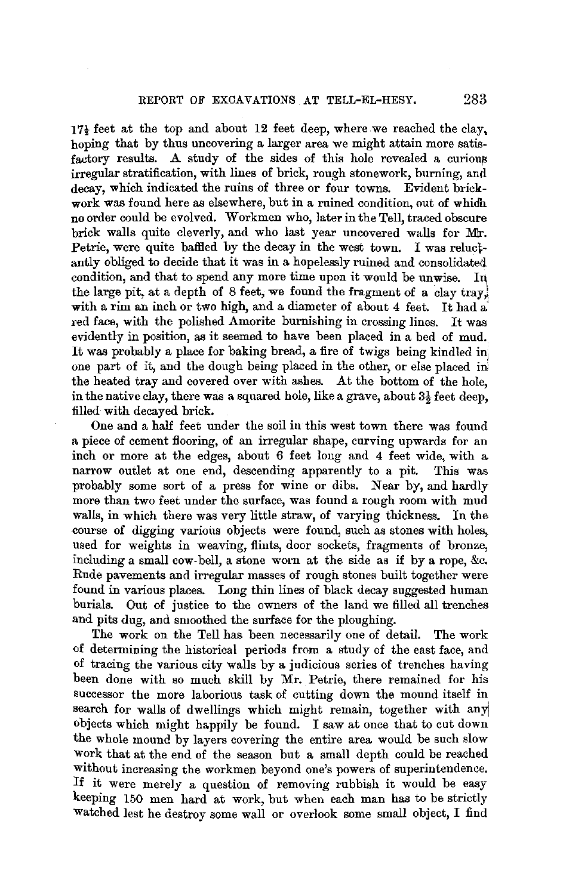$17\frac{1}{2}$  feet at the top and about 12 feet deep, where we reached the clay, hoping that by thus uncovering a larger area we might attain more satisfactory results. A study of the sides of this hole revealed a curious irregular stratification, with lines of brick, rough stonework, burning, and decay, which indicated the ruins of three or four towns. Evident brickwork was found here as elsewhere, but in a ruined condition, out of whidh no order could be evolved. Workmen who, later in the Tell, traced obscure brick walls quite cleverly, and who last year uncovered walls for Mr. Petrie, were quite baffled by the decay in the west town. I was reluctantly obliged to decide that it was in a hopelessly ruined and consolidated condition, and that to spend any more time upon it would be unwise. In the large pit, at a depth of 8 feet, we found the fragment of a clay tray; with a rim an inch or two high, and a diameter of about 4 feet. It had a' red face, with the polished Amorite burnishing in crossing lines. It was evidently in position, as it seemed to have been placed in a bed of mud. It was probably a place for baking bread, a fire of twigs being kindled in one part of it, and the dough being placed in the other, or else placed in the heated tray and covered over with ashes. At the bottom of the hole, in the native clay, there was a squared hole, like a grave, about  $3\frac{1}{5}$  feet deep. filled with decayed brick.

One and a half feet under the soil in this west town there was found a piece of cement flooring, of an irregular shape, curving upwards for an inch or more at the edges, about  $6$  feet long and  $4$  feet wide, with a narrow outlet at one end, descending apparently to a pit. This was narrow outlet at one end, descending apparently to a pit. probably some sort of a press for wine or dibs. Near by, and hardly more than two feet under the surface, was found a rough room with mud walls, in which there was very little straw, of varying thickness. In the course of digging various objects were found, such as stones with holes, used for weights in weaving, flints, door sockets, fragments of bronze, including a small cow-bell, a stone worn at the side as if by a rope, &c. Rude pavements and irregular masses of rough stones built together were found in various places. Long thin lines of black decay suggested human burials. Out of justice to the owners of the land we filled all trenches and pits dug, and smoothed the surface for the ploughing.

The work on the Tell has been necessarily one of detail. The work of determining the historical periods from a study of the east face, and of tracing the various city walls by a judicious series of trenches having been done with so much skill by Mr. Petrie, there remained for his successor the more laborious task of cutting down the mound itself in search for walls of dwellings which might remain, together with anyj objects which might happily be found. I saw at once that to cat down the whole mound by layers covering the entire area would be such slow Work that at the end of the season but a small depth could be reached without increasing the workmen beyond one's powers of superintendence. If it were merely a question of removing rubbish it would be easy keeping 150 men hard at work, but when each man has to be strictly watched lest he destroy some wall or overlook some small object, I find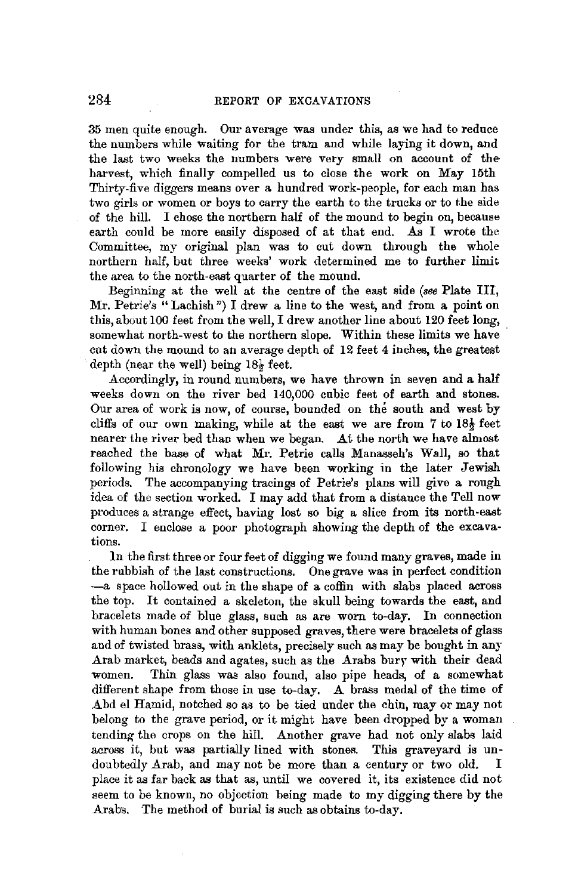35 men quite enough. Our average was under this, as we had to reduce the numbers while waiting for the tram and while laying it down, and the last two weeks the numbers were very small on account of the harvest, which finally compelled us to close the work on May 15th Thirty-five diggers means over a hundred work-people, for each man has two girls or women or boys to carry the earth to the trucks or to the side of the hill. I chose the northern half of the mound to begin on, because earth could be more easily disposed of at that end. As I wrote the Committee, my original plan was to cut down through the whole northern half, but three weeks' work determined me to further limit the area to the north-east quarter of the mound.

Beginning at the well at the centre of the east side *(see* Plate III, Mr. Petrie's " Lachish ") I drew a line to the west, and from a point on this, about 100 feet from the well, I drew another line about 120 feet long, somewhat north-west to the northern slope. Within these limits we have cut down the mound to an average depth of 12 feet 4 inches, the greatest depth (near the well) being 18½ feet.

Accordingly, in round numbers, we have thrown in seven and a half weeks down on the river bed 140,000 cubic feet of earth and stones. Our area of work is now, of course, bounded on the south and west by cliffs of our own making, while at the east we are from 7 to 18½ feet nearer the river bed than when we began. At the north we have almost reached the base of what Mr. Petrie calls Manasseh's Wall, so that following his chronology we have been working in the later Jewish periods. The accompanying tracings of Petrie's plans will give a rough idea of the section worked. I may add that from a distance the Tell now produces a strange effect, having lost so big a slice from its north-east corner. I enclose a poor photograph showing the depth of the excavations.

ln the first three or four feet of digging we found many graves, made in the rubbish of the last constructions. One grave was in perfect condition -a space hollowed out in the shape of a coffin with slabs placed across the top. It contained a skeleton, the skull being towards the east, and bracelets made of blue glass, such as are worn to-day. In connection with human bones and other supposed graves, there were bracelets of glass and of twisted brass, with anklets, precisely such as may be bought in any Arab market, beads and agates, such as the Arabs burr with their dead women. Thin glass was also found, also pipe heads, of a somewhat different shape from those in use to-day. A brass medal of the time of Abd el Hamid, notched so as to be tied under the chin, may or may not belong to the grave period, or it might have been dropped by a woman tending the crops on the hill. Another grave had not only slabs laid across it, but was partially lined with stones. This graveyard is undoubtedly Arab, and may not be more than a century or two old. I place it as far back as that as, until we covered it, its existence did not seem to be known, no objection being made to my digging there by the Arabs. The method of burial is such as obtains to-day.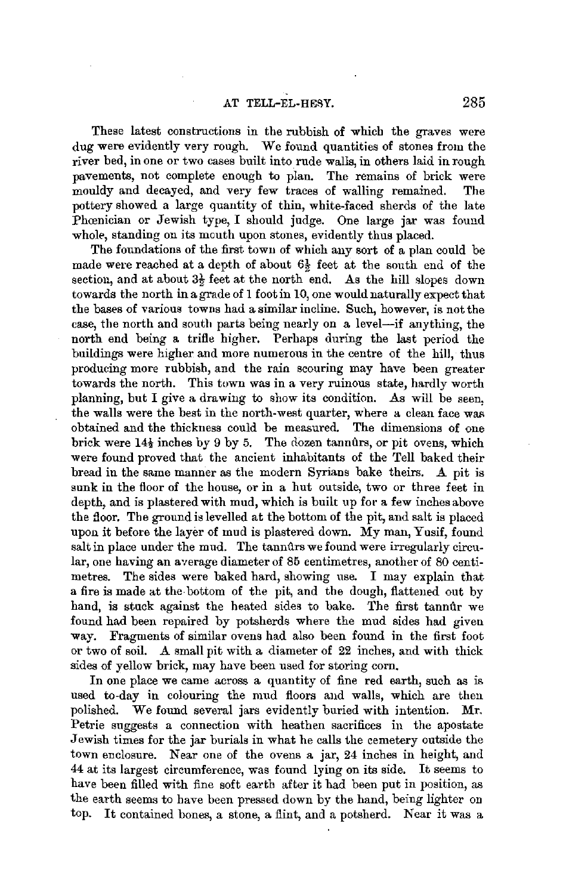These latest constructions in the rubbish of which the graves were dug were evidently very rough. We found quantities of stones from the river bed, in one or two cases built into rude walls, in others laid in rough pavements, not complete enough to plan. The remains of brick were mouldy and decayed, and very few traces of walling remained. The pottery showed a large quantity of thin, white-faced sherds of the late Phcenician or Jewish type, I should judge. One large jar was found whole, standing on its mouth upon stones, evidently thus placed.

The foundations of the first town of which any sort of a plan could be made were reached at a depth of about  $6\frac{1}{2}$  feet at the south end of the section, and at about  $3\frac{1}{2}$  feet at the north end. As the hill slopes down towards the north in a grade of l foot in 10, one would naturally expect that the bases of various towns had a similar incline. Such, however, is not the case, the north and south parts being nearly on a level-if anything, the north end being a trifle higher. Perhaps during the last period the buildings were higher and more numerous in the centre of the hill, thus producing more rubbish, and the rain scouring may have been greater towards the north. This town was in a very ruinous state, hardly worth planning, but I give a drawing to show its condition. As will be seen, the walls were the best in the north-west quarter, where a clean face was obtained and the thickness could be measured. The dimensions of one brick were  $14\frac{1}{2}$  inches by 9 by 5. The dozen tannus, or pit ovens, which were found proved that the ancient inhabitants of the Tell baked their bread in the same manner as the modern Syrians bake theirs. A pit is sunk in the floor of the house, or in a hut outside, two or three feet in depth, and is plastered with mud, which is built up for a few inches above the floor. The ground is levelled at the bottom of the pit, and salt is placed upon it before the layer of mud is plastered down. My man, Yusif, found salt in place under the mud. The tannus we found were irregularly circular, one having an average diameter of 85 centimetres, another of 80 centimetres. The sides were baked hard, showing use. I may explain that a fire is made at the bottom of the pit, and the dough, flattened out by hand, is stuck against the heated sides to bake. The first tannut we found had been repaired by potsherds where the mud sides had given way. Fragments of similar ovens had also been found in the first foot or two of soil. A small pit with a diameter of 22 inches, and with thick sides of yellow brick, may have been used for storing corn.

In one place we came across a quantity of fine red earth, such as is used to-day in colouring the mud floors and walls, which are then polished. We found several jars evidently buried with intention. Mr. Petrie suggests a connection with heathen sacrifices in the apostate Jewish times for the jar burials in what he calls the cemetery outside the town enclosure. Near one of the ovens a jar, 24 inches in height, and 44 at its largest circumference, was found lying on its side. It seems to have been filled with fine soft earth after it had been put in position, as the earth seems to have been pressed down by the hand, being lighter on top. It contained bones, a stone, a flint, and a potsherd. Near it was a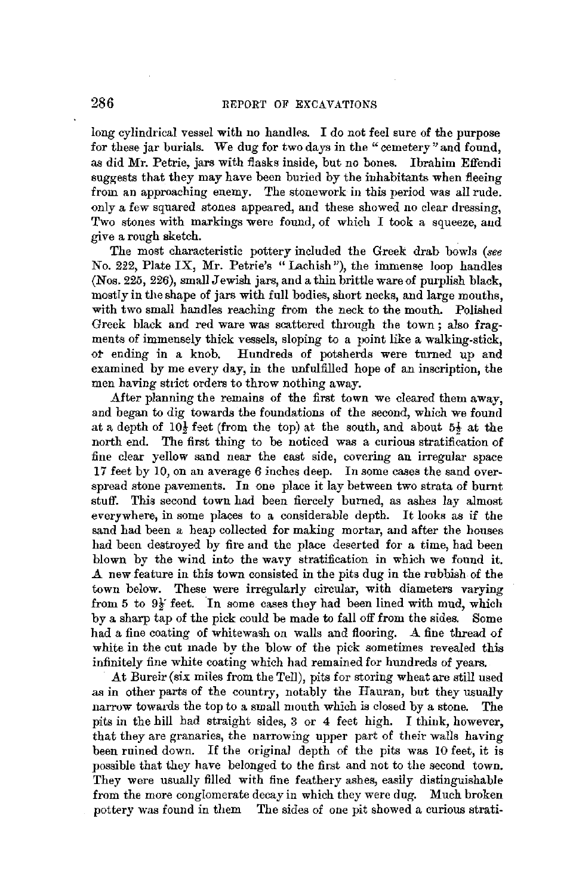long cylindrical vessel with no handles. I do not feel sure of the purpose for these jar burials. We dug for two days in the "cemetery" and found, as did Mr. Petrie, jars with flasks inside, but no bones. Ibrahim Effendi suggests that they may have been buried by the inhabitants when fleeing from an approaching enemy. The stonework in this period was all rude. only a few squared stones appeared, and these showed no clear dressing, Two stones with markings were found, of which I took a squeeze, and *give* a rough sketch.

The most characteristic pottery included the Greek drab bowls *(see No.* 222, Plate IX, Mr. Petrie's "Lachish "), the immense loop handles (Nos. 225, 226), small Jewish jars, and a thin brittle ware of purplish black, mostly in the shape of jars with full bodies, short necks, and large mouths, with two small handles reaching from the neck to the mouth. Polished Greek black and red ware was scattered through the town ; also fragments of immensely thick vessels, sloping to a point like a walking-stick, or ending in a knob. Hundreds of potsherds were turned up and Hundreds of potsherds were turned up and examined by me every day, in the unfulfilled hope of an inscription, the men having strict orders to throw nothing away.

.After planning the remains of the first town we cleared them away, and began to dig towards the foundations of the second, which we found at a depth of  $10\frac{1}{2}$  feet (from the top) at the south, and about  $5\frac{1}{2}$  at the north end. The first thing to be noticed was a curious stratification of fine clear yellow sand near the east side, covering an irregular space 17 feet by 10, on an average *6* inches deep. In some cases the sand overspread stone pavements. In one place it lay between two strata of burnt stuff. This second town had been fiercely burned, as ashes lay almost everywhere, in some places to a considerable depth. It looks as if the sand had been a heap collected for making mortar, and after the houses had been destroyed by fire and the place deserted for a time, had been blown by the wind into the wavy stratification in which we found it. .A. new feature in this town consisted in the pits dug in the rubbish.of the town below. These were irregularly circular, with diameters varying from 5 to  $9\frac{1}{2}$  feet. In some cases they had been lined with mud, which by a sharp tap of the pick could be made to fall off from the sides. Some had a fine coating of whitewash on walls and flooring. A fine thread of white in the cut made by the blow of the pick sometimes revealed this infinitely fine white coating which had remained for hundreds of years.

.A.t Bureir (six miles from the Tell), pits for storing wheat are still used as in other parts of the country, notably the Hauran, but they usually narrow towards the top to a small mouth which is closed by a stone. The pits in the hill had straight sides, 3 or 4 feet high. I think, however, that they are granaries, the narrowing upper part of their walis having been ruined down. If the original depth of the pits was 10 feet, it is possible that they have belonged to the first and not to the second town. They were usually filled with fine feathery ashes, easily distinguishable from the more conglomerate decay in which they were dug. Much broken pottery was found in them The sides of one pit showed a curious strati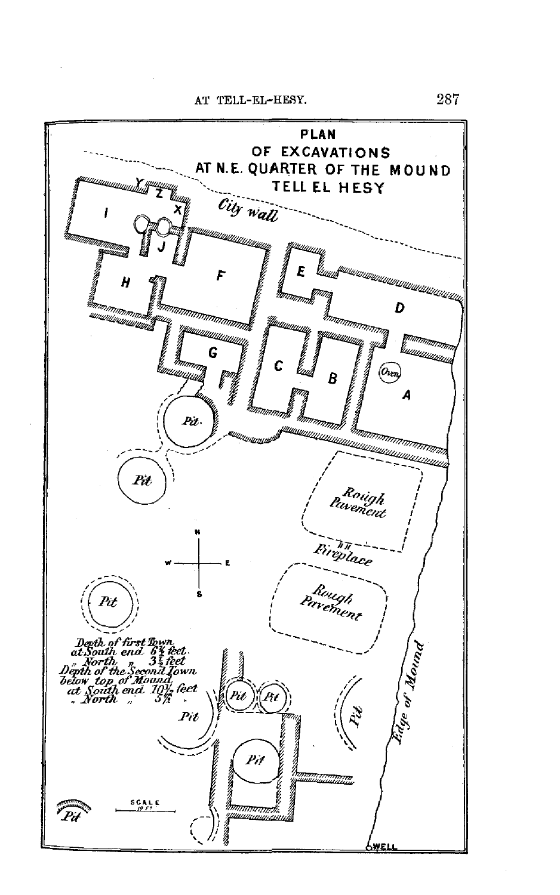AT TELL-EL-HESY. 287

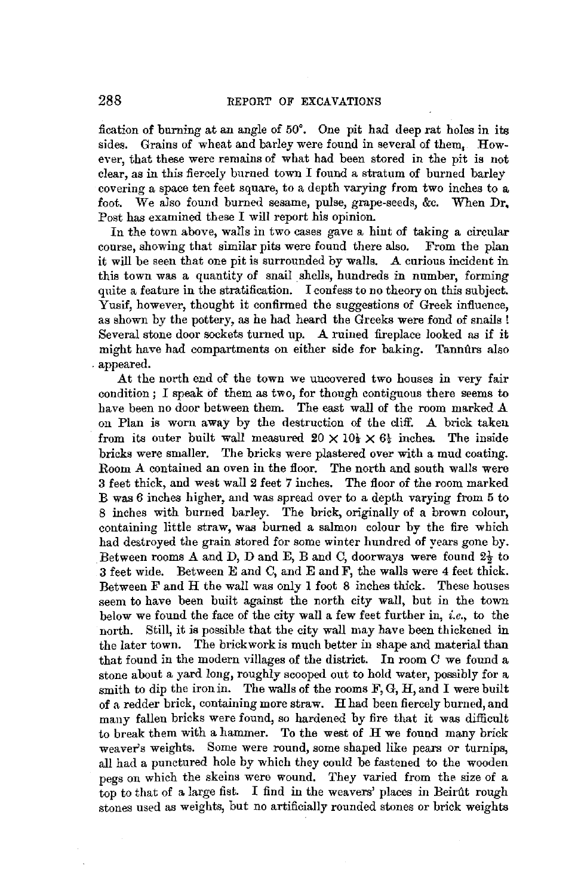fication of burning at an angle of 50°. One pit had deep rat holes in its sides. Grains of wheat and barley were found in several of them, However, that these were remains of what had been stored in the pit is not clear, as in this fiercely burned town I found a stratum of burned barley covering a space ten feet square, to a depth varying from two inches to a foot. We also found burned sesame, pulse, grape-seeds, &c. When Dr, Post has examined these I will report his opinion.

In the town above, walls in two cases gave a hint of taking a circular course, showing that similar pits were found there also. From the plan it will be seen that one pit is surrounded by walls. A curious incident in this town was a quantity of snail shells, hundreds in number, forming quite a feature in the stratification. I confess to no theory on this subject. Yusif, however, thought it confirmed the suggestions of Greek influence, as shown by the pottery, as he had heard the Greeks were fond of snails ! Several stone door sockets turned up. A ruined fireplace looked as if it might have had compartments on either side for baking. Tannûrs also . appeared.

At the north end of the town we uncovered two houses in very fair condition ; I speak of them as two, for though contiguous there seems to have been no door between them. The east wall of the room marked A on Plan is worn away by the destruction of the cliff. A brick taken from its outer built wall measured  $20 \times 10\frac{1}{2} \times 6\frac{1}{2}$  inches. The inside bricks were smaller. The bricks were plastered over with a mud coating. Room A contained au oven in the floor. The north and south walls were 3 feet thick, and west wall 2 feet 7 inches. The floor of the room marked B was 6 inches higher, and was spread over to a depth varying from 5 to 8 inches with burned barley. The brick, originally of a brown colour, containing little straw, was burned a salmon colour by the fire which had destroyed the grain stored for some winter hundred of vears gone by. Between rooms A and D, D and E, B and C, doorways were found  $2\frac{1}{2}$  to 3 feet wide. Between E and C, and E and F, the walls were 4 feet thick. Between F and H the wall was only 1 foot 8 inches thick. These houses seem to have been built against the north city wall, but in the town below we found the face of the city wall a few feet further in, *i.e.,* to the north. Still, it is possible that the city wall may have been thickened in the later town. The brickwork is much better in shape and material than that found in the modern villages of the district. In room C we found a stone about a yard long, roughly scooped out to hold water, possibly for a smith to dip the iron in. The walls of the rooms  $F, G, H$ , and I were built of a redder brick, containing more straw. H had been fiercely burned, and many fallen bricks were found, so hardened by fire that it was difficult to break them with a hammer. To the west of H we found many brick weaver's weights. Some were round, some shaped like pears or turnips, all had a punctured hole by which they could be fastened to the wooden pegs on which the skeins were wound. They varied from the size of a top to that of a large fist. I find in the weavers' places in Beirût rough stones used as weights, but no artificially rounded stones or brick weights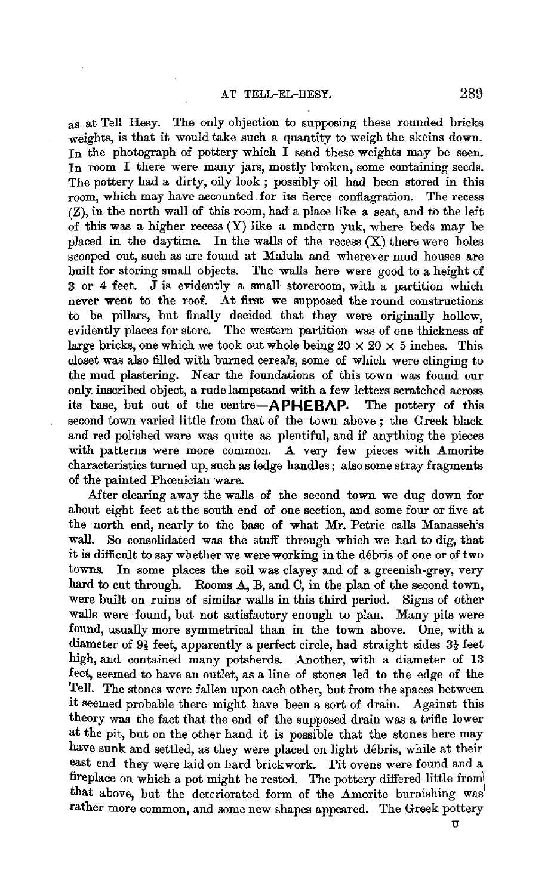as at Tell Hesy. The only objection to supposing these rounded bricks weights, is that it would take such a quantity to weigh the skeins down. In the photograph of pottery which  $\overline{I}$  send these weights may be seen. In room I there were many jars, mostly broken, some containing seeds. The pottery had a dirty, oily look ; possibly oil had been stored in this room, which may have accounted for its fierce conflagration. The recess room, which may have accounted for its fierce conflagration. (Z), in the north wall of this room, had a place like a seat, and to the left of this was a higher recess (Y) like a modern yuk, where beds may be placed in the daytime. In the walls of the recess  $(X)$  there were holes scooped out, such as are found at Malula and wherever mud houses are built for storing small objects. The walls here-were good to a height of **3** or 4 feet. J is evidently a small storeroom, with a partition which never went to the roof. At firat we supposed the round constructions to be pillars, but finally decided that they were originally hollow. evidently places for store. The western partition was of one thickness of large bricks, one which we took out whole being  $20 \times 20 \times 5$  inches. This closet was also filled with burned cereals, some of which were clinging to the mud plastering. Near the foundations of this town was found our only inscribed object, a rude lampstand with a few letters scratched across its base, but out of the centre-APHFRAP. The pottery of this second town varied little from that of the town above ; the Greek black and red polished ware was quite as plentiful, and if anything the pieces with patterns were more common. A very few pieces with Amorite characteristics turned up, such as ledge handles; also some stray fragments of the painted Phœnician ware.

After clearing away the walls of the second town we dug down for about eight feet at the south end of one section, and some four or five at the north end, nearly to the base of what Mr. Petrie calls Manasseh's wall. So consolidated was the stuff through which we had to dig, that it is difficult to say whether we were working in the debris of one or of two towns. In some places the soil was clayey and of a greenish-grey, very hard to cut through. Rooms A, B, and C, in the plan of the second town, were built on ruins of similar walls in this third period. Signs of other walls were found, but not satisfactory enough to plan. Many pits were found, usually more symmetrical than in the town above. One, with a diameter of  $9\frac{1}{2}$  feet, apparently a perfect circle, had straight sides  $3\frac{1}{2}$  feet high, and contained many potsherds. Another, with a diameter of 13 feet, seemed to have an outlet, as a line of stones led to the edge of the Tell. The stones were fallen upon each other, but from the spaces between it seemed probable there might have been a sort of drain. Against this theory was the fact that the end of the supposed drain was a trifle lower at the pit, but on the other hand it is possible that the stones here may have sunk and settled, as they were placed on light debris, while at their east end they were laid on hard brickwork. Pit ovens were found and a fireplace on which a pot might be rested. The pottery differed little from\· that above, but the deteriorated form of the Amorite burnishing was rather more common, and some new shapes appeared. The Greek pottery